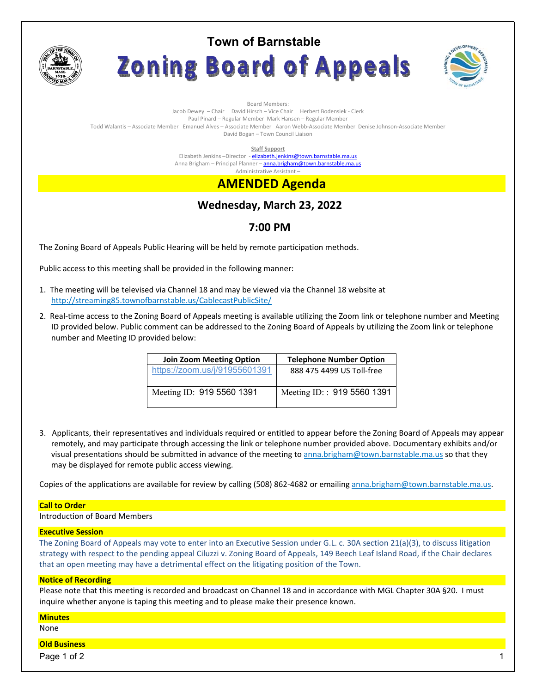

# **Town of Barnstable** Zoning Board of Appeals



Board Members: Jacob Dewey – Chair David Hirsch – Vice Chair Herbert Bodensiek - Clerk Paul Pinard – Regular Member Mark Hansen – Regular Member Todd Walantis – Associate Member Emanuel Alves – Associate Member Aaron Webb-Associate Member Denise Johnson-Associate Member David Bogan – Town Council Liaison

**Staff Support** 

Elizabeth Jenkins -Director - elizabeth.jenkins@town.barnstable.ma.us Anna Brigham – Principal Planner – **anna.brigham@town.barnstable.ma.us** Administrative Assistant –

# **AMENDED Agenda**

# **Wednesday, March 23, 2022**

## **7:00 PM**

The Zoning Board of Appeals Public Hearing will be held by remote participation methods.

Public access to this meeting shall be provided in the following manner:

- 1. The meeting will be televised via Channel 18 and may be viewed via the Channel 18 website at http://streaming85.townofbarnstable.us/CablecastPublicSite/
- 2. Real-time access to the Zoning Board of Appeals meeting is available utilizing the Zoom link or telephone number and Meeting ID provided below. Public comment can be addressed to the Zoning Board of Appeals by utilizing the Zoom link or telephone number and Meeting ID provided below:

| <b>Join Zoom Meeting Option</b> | <b>Telephone Number Option</b> |
|---------------------------------|--------------------------------|
| https://zoom.us/j/91955601391   | 888 475 4499 US Toll-free      |
| Meeting ID: 919 5560 1391       | Meeting ID:: 919 5560 1391     |

3. Applicants, their representatives and individuals required or entitled to appear before the Zoning Board of Appeals may appear remotely, and may participate through accessing the link or telephone number provided above. Documentary exhibits and/or visual presentations should be submitted in advance of the meeting to anna.brigham@town.barnstable.ma.us so that they may be displayed for remote public access viewing.

Copies of the applications are available for review by calling (508) 862-4682 or emailing anna.brigham@town.barnstable.ma.us.

### **Call to Order**

Introduction of Board Members

### **Executive Session**

The Zoning Board of Appeals may vote to enter into an Executive Session under G.L. c. 30A section 21(a)(3), to discuss litigation strategy with respect to the pending appeal Ciluzzi v. Zoning Board of Appeals, 149 Beech Leaf Island Road, if the Chair declares that an open meeting may have a detrimental effect on the litigating position of the Town.

### **Notice of Recording**

Please note that this meeting is recorded and broadcast on Channel 18 and in accordance with MGL Chapter 30A §20. I must inquire whether anyone is taping this meeting and to please make their presence known.

### **Minutes**

None

### **Old Business**

Page 1 of 2  $\hphantom{\ddots}$